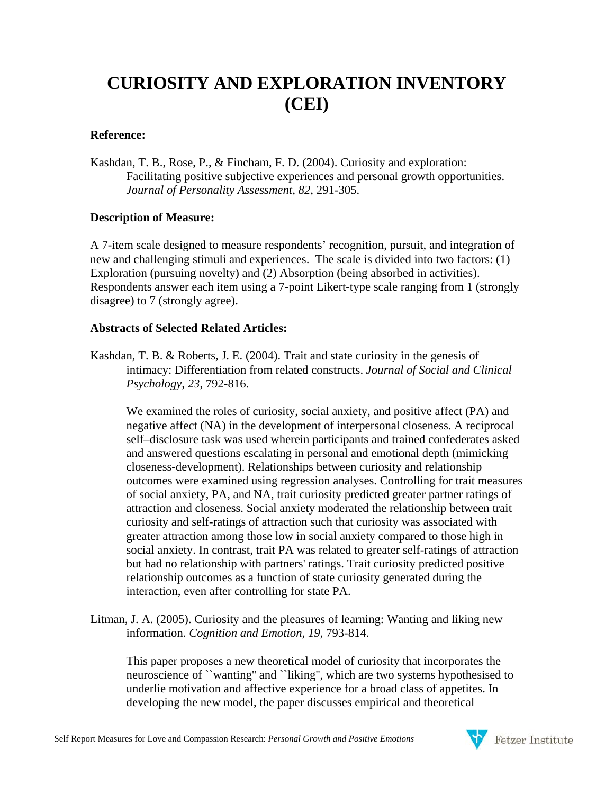# **CURIOSITY AND EXPLORATION INVENTORY (CEI)**

#### **Reference:**

Kashdan, T. B., Rose, P., & Fincham, F. D. (2004). Curiosity and exploration: Facilitating positive subjective experiences and personal growth opportunities. *Journal of Personality Assessment, 82*, 291-305.

## **Description of Measure:**

A 7-item scale designed to measure respondents' recognition, pursuit, and integration of new and challenging stimuli and experiences. The scale is divided into two factors: (1) Exploration (pursuing novelty) and (2) Absorption (being absorbed in activities). Respondents answer each item using a 7-point Likert-type scale ranging from 1 (strongly disagree) to 7 (strongly agree).

## **Abstracts of Selected Related Articles:**

Kashdan, T. B. & Roberts, J. E. (2004). Trait and state curiosity in the genesis of intimacy: Differentiation from related constructs. *Journal of Social and Clinical Psychology, 23*, 792-816.

We examined the roles of curiosity, social anxiety, and positive affect (PA) and negative affect (NA) in the development of interpersonal closeness. A reciprocal self–disclosure task was used wherein participants and trained confederates asked and answered questions escalating in personal and emotional depth (mimicking closeness-development). Relationships between curiosity and relationship outcomes were examined using regression analyses. Controlling for trait measures of social anxiety, PA, and NA, trait curiosity predicted greater partner ratings of attraction and closeness. Social anxiety moderated the relationship between trait curiosity and self-ratings of attraction such that curiosity was associated with greater attraction among those low in social anxiety compared to those high in social anxiety. In contrast, trait PA was related to greater self-ratings of attraction but had no relationship with partners' ratings. Trait curiosity predicted positive relationship outcomes as a function of state curiosity generated during the interaction, even after controlling for state PA.

Litman, J. A. (2005). Curiosity and the pleasures of learning: Wanting and liking new information. *Cognition and Emotion, 19*, 793-814.

This paper proposes a new theoretical model of curiosity that incorporates the neuroscience of ``wanting'' and ``liking'', which are two systems hypothesised to underlie motivation and affective experience for a broad class of appetites. In developing the new model, the paper discusses empirical and theoretical

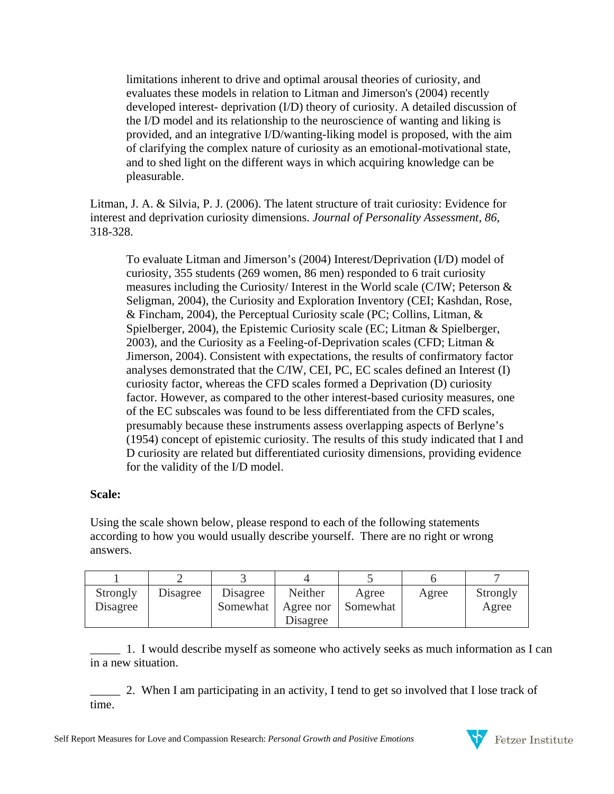limitations inherent to drive and optimal arousal theories of curiosity, and evaluates these models in relation to Litman and Jimerson's (2004) recently developed interest- deprivation (I/D) theory of curiosity. A detailed discussion of the I/D model and its relationship to the neuroscience of wanting and liking is provided, and an integrative I/D/wanting-liking model is proposed, with the aim of clarifying the complex nature of curiosity as an emotional-motivational state, and to shed light on the different ways in which acquiring knowledge can be pleasurable.

Litman, J. A. & Silvia, P. J. (2006). The latent structure of trait curiosity: Evidence for interest and deprivation curiosity dimensions. *Journal of Personality Assessment, 86*, 318-328.

To evaluate Litman and Jimerson's (2004) Interest/Deprivation (I/D) model of curiosity, 355 students (269 women, 86 men) responded to 6 trait curiosity measures including the Curiosity/ Interest in the World scale (C/IW; Peterson & Seligman, 2004), the Curiosity and Exploration Inventory (CEI; Kashdan, Rose, & Fincham, 2004), the Perceptual Curiosity scale (PC; Collins, Litman, & Spielberger, 2004), the Epistemic Curiosity scale (EC; Litman & Spielberger, 2003), and the Curiosity as a Feeling-of-Deprivation scales (CFD; Litman & Jimerson, 2004). Consistent with expectations, the results of confirmatory factor analyses demonstrated that the C/IW, CEI, PC, EC scales defined an Interest (I) curiosity factor, whereas the CFD scales formed a Deprivation (D) curiosity factor. However, as compared to the other interest-based curiosity measures, one of the EC subscales was found to be less differentiated from the CFD scales, presumably because these instruments assess overlapping aspects of Berlyne's (1954) concept of epistemic curiosity. The results of this study indicated that I and D curiosity are related but differentiated curiosity dimensions, providing evidence for the validity of the I/D model.

#### **Scale:**

Using the scale shown below, please respond to each of the following statements according to how you would usually describe yourself. There are no right or wrong answers.

| Strongly<br>Disagree | Disagree | Disagree<br>Somewhat | Neither<br>Agree nor | Agree<br>Somewhat | Agree | Strongly<br>Agree |
|----------------------|----------|----------------------|----------------------|-------------------|-------|-------------------|
|                      |          |                      | Disagree             |                   |       |                   |

\_\_\_\_\_ 1. I would describe myself as someone who actively seeks as much information as I can in a new situation.

\_\_\_\_\_ 2. When I am participating in an activity, I tend to get so involved that I lose track of time.